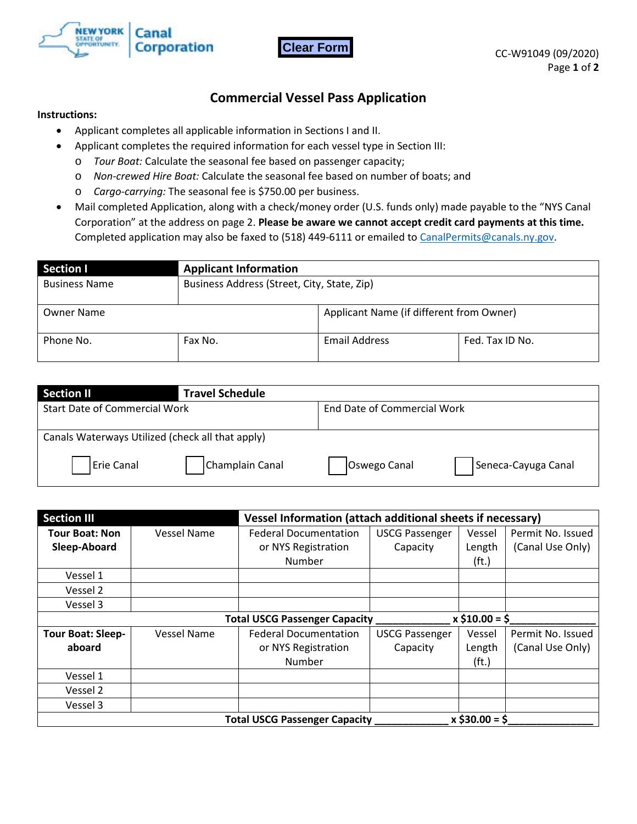



## **Commercial Vessel Pass Application**

## **Instructions:**

- Applicant completes all applicable information in Sections I and II.
- Applicant completes the required information for each vessel type in Section III:
	- o *Tour Boat:* Calculate the seasonal fee based on passenger capacity;
	- o *Non-crewed Hire Boat:* Calculate the seasonal fee based on number of boats; and
	- o *Cargo-carrying:* The seasonal fee is \$750.00 per business.
- Mail completed Application, along with a check/money order (U.S. funds only) made payable to the "NYS Canal Corporation" at the address on page 2. **Please be aware we cannot accept credit card payments at this time.** Completed application may also be faxed to (518) 449-6111 or emailed to CanalPermits@canals.ny.gov.

| Section I            | <b>Applicant Information</b>                |                                          |                 |
|----------------------|---------------------------------------------|------------------------------------------|-----------------|
| <b>Business Name</b> | Business Address (Street, City, State, Zip) |                                          |                 |
| <b>Owner Name</b>    |                                             | Applicant Name (if different from Owner) |                 |
| Phone No.            | Fax No.                                     | Email Address                            | Fed. Tax ID No. |

| <b>Section II</b>                                | <b>Travel Schedule</b> |                             |                     |
|--------------------------------------------------|------------------------|-----------------------------|---------------------|
| <b>Start Date of Commercial Work</b>             |                        | End Date of Commercial Work |                     |
| Canals Waterways Utilized (check all that apply) |                        |                             |                     |
| Erie Canal                                       | Champlain Canal        | Oswego Canal                | Seneca-Cayuga Canal |

| <b>Section III</b>       |                                                               | Vessel Information (attach additional sheets if necessary) |                       |                   |                   |
|--------------------------|---------------------------------------------------------------|------------------------------------------------------------|-----------------------|-------------------|-------------------|
| <b>Tour Boat: Non</b>    | <b>Vessel Name</b>                                            | <b>Federal Documentation</b>                               | <b>USCG Passenger</b> | Vessel            | Permit No. Issued |
| Sleep-Aboard             |                                                               | or NYS Registration                                        | Capacity              | Length            | (Canal Use Only)  |
|                          |                                                               | Number                                                     |                       | (f <sub>t</sub> ) |                   |
| Vessel 1                 |                                                               |                                                            |                       |                   |                   |
| Vessel 2                 |                                                               |                                                            |                       |                   |                   |
| Vessel 3                 |                                                               |                                                            |                       |                   |                   |
|                          | $x \xi$ 10.00 = $\xi$<br><b>Total USCG Passenger Capacity</b> |                                                            |                       |                   |                   |
| <b>Tour Boat: Sleep-</b> | <b>Vessel Name</b>                                            | <b>Federal Documentation</b>                               | <b>USCG Passenger</b> | Vessel            | Permit No. Issued |
| aboard                   |                                                               | or NYS Registration                                        | Capacity              | Length            | (Canal Use Only)  |
|                          |                                                               | Number                                                     |                       | (f <sub>t</sub> ) |                   |
| Vessel 1                 |                                                               |                                                            |                       |                   |                   |
| Vessel 2                 |                                                               |                                                            |                       |                   |                   |
| Vessel 3                 |                                                               |                                                            |                       |                   |                   |
|                          |                                                               | <b>Total USCG Passenger Capacity</b>                       |                       | $x$ \$30.00 = \$  |                   |